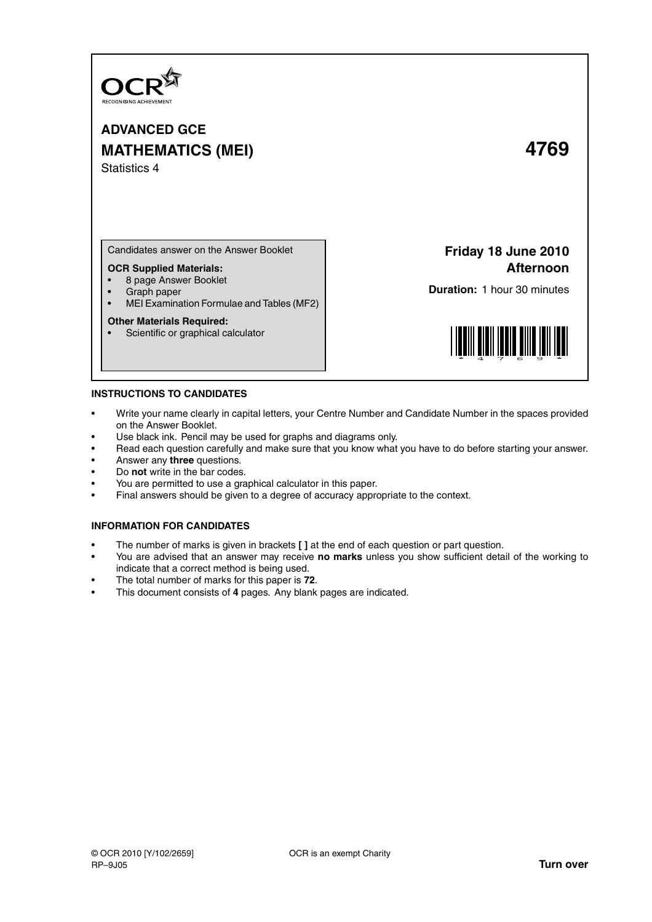

**ADVANCED GCE MATHEMATICS (MEI) 4769** Statistics 4

Candidates answer on the Answer Booklet

## **OCR Supplied Materials:**

- 8 page Answer Booklet
- Graph paper<br>• MELExamina
- MEI Examination Formulae and Tables (MF2)

#### **Other Materials Required:**

• Scientific or graphical calculator

**Friday 18 June 2010 Afternoon**

**Duration:** 1 hour 30 minutes



#### **INSTRUCTIONS TO CANDIDATES**

- Write your name clearly in capital letters, your Centre Number and Candidate Number in the spaces provided on the Answer Booklet.
- Use black ink. Pencil may be used for graphs and diagrams only.
- Read each question carefully and make sure that you know what you have to do before starting your answer.
- Answer any **three** questions.
- Do **not** write in the bar codes.
- You are permitted to use a graphical calculator in this paper.
- Final answers should be given to a degree of accuracy appropriate to the context.

## **INFORMATION FOR CANDIDATES**

- The number of marks is given in brackets **[ ]** at the end of each question or part question.
- You are advised that an answer may receive **no marks** unless you show sufficient detail of the working to indicate that a correct method is being used.
- The total number of marks for this paper is **72**.
- This document consists of **4** pages. Any blank pages are indicated.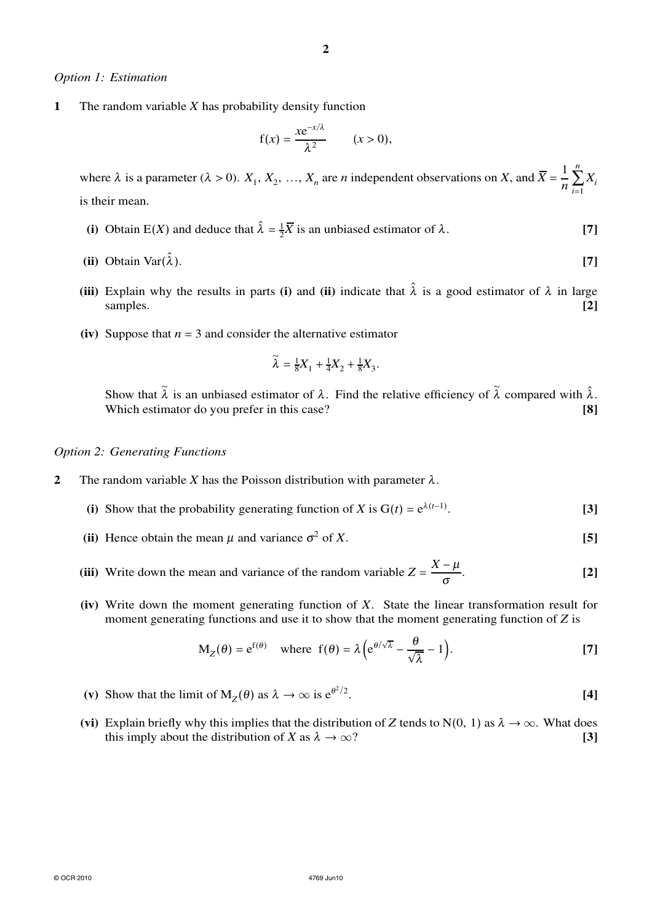## *Option 1: Estimation*

**1** The random variable *X* has probability density function

$$
f(x) = \frac{xe^{-x/\lambda}}{\lambda^2} \qquad (x > 0),
$$

where  $\lambda$  is a parameter ( $\lambda > 0$ ).  $X_1, X_2, ..., X_n$  are *n* independent observations on *X*, and  $\overline{X} = \frac{1}{n}$ *n n* ∑ *i*=1 *Xi* is their mean.

- (i) Obtain E(*X*) and deduce that  $\hat{\lambda} = \frac{1}{2}\overline{X}$  is an unbiased estimator of  $\lambda$ . [7]
- (ii) Obtain Var $(\hat{\lambda})$ .  $\hat{\lambda}$ ). [7]
- **(iii)** Explain why the results in parts **(i)** and **(ii)** indicate that  $\hat{\lambda}$  is a good estimator of  $\lambda$  in large samples. **[2]**
- **(iv)** Suppose that  $n = 3$  and consider the alternative estimator

$$
\widetilde{\lambda} = \frac{1}{8}X_1 + \frac{1}{4}X_2 + \frac{1}{8}X_3.
$$

Show that  $\tilde{\lambda}$  is an unbiased estimator of  $\lambda$ . Find the relative efficiency of  $\tilde{\lambda}$  compared with  $\hat{\lambda}$ . Which estimator do you prefer in this case? **[8]** 

## *Option 2: Generating Functions*

- **2** The random variable *X* has the Poisson distribution with parameter  $\lambda$ .
	- (i) Show that the probability generating function of *X* is  $G(t) = e^{\lambda(t-1)}$ . **[3]**
	- (ii) Hence obtain the mean  $\mu$  and variance  $\sigma^2$ of *X*. **[5]**
	- **(iii)** Write down the mean and variance of the random variable  $Z = \frac{X \mu}{\sigma}$ σ . **[2]**
	- **(iv)** Write down the moment generating function of *X*. State the linear transformation result for moment generating functions and use it to show that the moment generating function of *Z* is

$$
M_Z(\theta) = e^{f(\theta)} \quad \text{where } f(\theta) = \lambda \left( e^{\theta/\sqrt{\lambda}} - \frac{\theta}{\sqrt{\lambda}} - 1 \right). \tag{7}
$$

- (v) Show that the limit of  $M_Z(\theta)$  as  $\lambda \to \infty$  is  $e^{\theta^2/2}$ . **[4]**
- (vi) Explain briefly why this implies that the distribution of *Z* tends to N(0, 1) as  $\lambda \to \infty$ . What does this imply about the distribution of *X* as  $\lambda \to \infty$ ? this imply about the distribution of *X* as  $\lambda \to \infty$ ?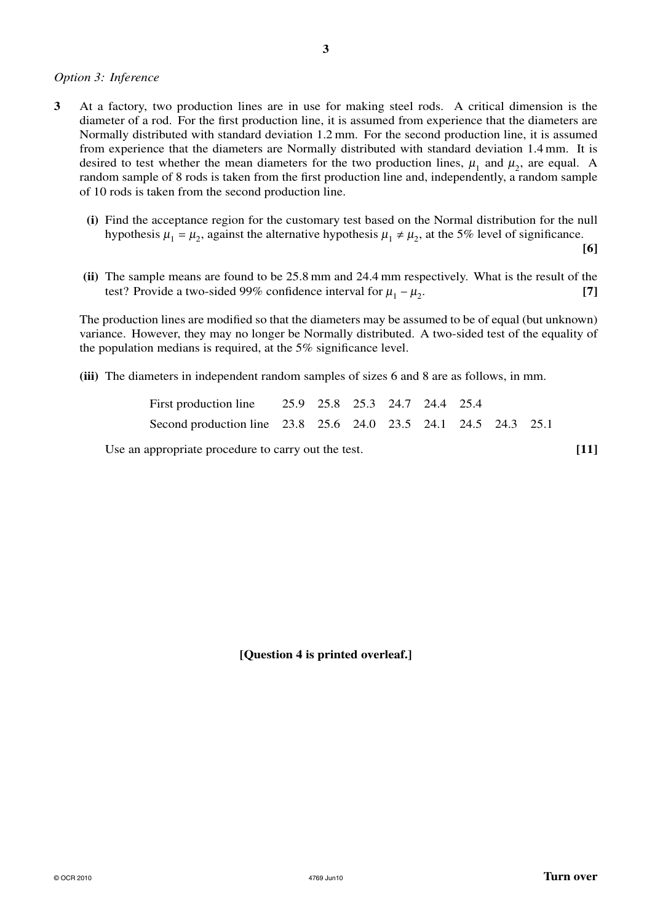# *Option 3: Inference*

- **3** At a factory, two production lines are in use for making steel rods. A critical dimension is the diameter of a rod. For the first production line, it is assumed from experience that the diameters are Normally distributed with standard deviation 1.2 mm. For the second production line, it is assumed from experience that the diameters are Normally distributed with standard deviation 1.4 mm. It is desired to test whether the mean diameters for the two production lines,  $\mu_1$  and  $\mu_2$ , are equal. A random sample of 8 rods is taken from the first production line and, independently, a random sample of 10 rods is taken from the second production line.
	- **(i)** Find the acceptance region for the customary test based on the Normal distribution for the null hypothesis  $\mu_1 = \mu_2$ , against the alternative hypothesis  $\mu_1 \neq \mu_2$ , at the 5% level of significance.

**[6]**

**(ii)** The sample means are found to be 25.8 mm and 24.4 mm respectively. What is the result of the test? Provide a two-sided 99% confidence interval for  $\mu_1 - \mu_2$ . **[7]**

The production lines are modified so that the diameters may be assumed to be of equal (but unknown) variance. However, they may no longer be Normally distributed. A two-sided test of the equality of the population medians is required, at the 5% significance level.

**(iii)** The diameters in independent random samples of sizes 6 and 8 are as follows, in mm.

| First production line 25.9 25.8 25.3 24.7 24.4 25.4            |  |  |  |  |
|----------------------------------------------------------------|--|--|--|--|
| Second production line 23.8 25.6 24.0 23.5 24.1 24.5 24.3 25.1 |  |  |  |  |

Use an appropriate procedure to carry out the test. **[11]** 

**[Question 4 is printed overleaf.]**